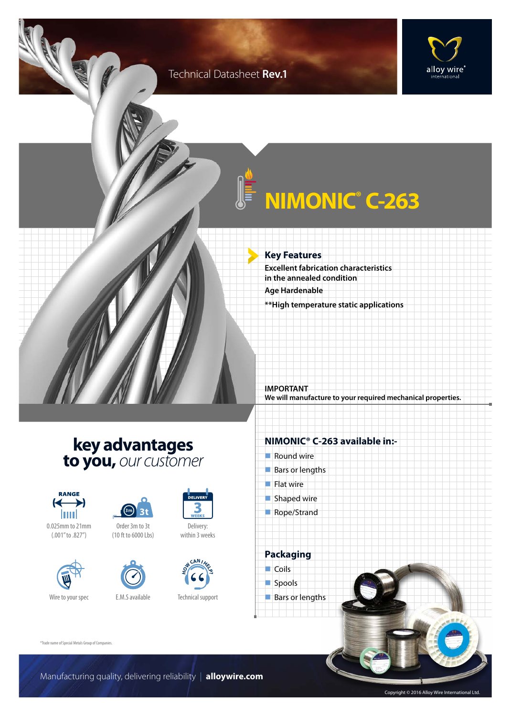### Technical Datasheet **Rev.1**





# **NIMONIC® C-263**

**Key Features Excellent fabrication characteristics in the annealed condition Age Hardenable \*\*High temperature static applications**

**IMPORTANT We will manufacture to your required mechanical properties.**

### **key advantages to you,** *our customer*













Wire to your spec **E.M.S** available



Technical support

**H CAN I**<br> **H E D** 

Delivery: within 3 weeks

DELIVER

#### **NIMONIC® C-263 available in:-**

- $\blacksquare$  Round wire  $\blacksquare$  Bars or lengths  $\blacksquare$  Flat wire  $\blacksquare$  Shaped wire
- Rope/Strand



spools

**Bars or lengths** 

®Trade name of Special Metals Group of Companies.

Manufacturing quality, delivering reliability | **alloywire.com**

Copyright © 2016 Alloy Wire International Ltd.